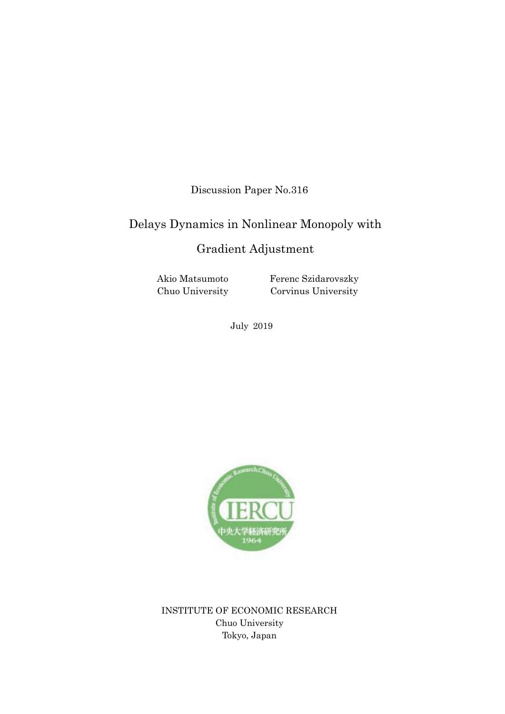Discussion Paper No.316

## Delays Dynamics in Nonlinear Monopoly with

## Gradient Adjustment

Akio Matsumoto Chuo University Ferenc Szidarovszky Corvinus University

July 2019



INSTITUTE OF ECONOMIC RESEARCH Chuo University Tokyo, Japan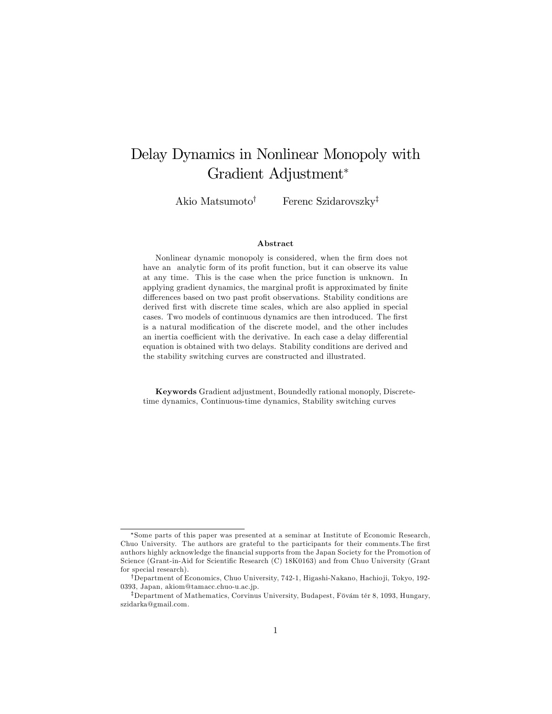# Delay Dynamics in Nonlinear Monopoly with Gradient Adjustment

Akio Matsumoto<sup>†</sup> Ferenc Szidarovszky<sup>‡</sup>

#### Abstract

Nonlinear dynamic monopoly is considered, when the Örm does not have an analytic form of its profit function, but it can observe its value at any time. This is the case when the price function is unknown. In applying gradient dynamics, the marginal profit is approximated by finite differences based on two past profit observations. Stability conditions are derived first with discrete time scales, which are also applied in special cases. Two models of continuous dynamics are then introduced. The first is a natural modification of the discrete model, and the other includes an inertia coefficient with the derivative. In each case a delay differential equation is obtained with two delays. Stability conditions are derived and the stability switching curves are constructed and illustrated.

Keywords Gradient adjustment, Boundedly rational monoply, Discretetime dynamics, Continuous-time dynamics, Stability switching curves

Some parts of this paper was presented at a seminar at Institute of Economic Research, Chuo University. The authors are grateful to the participants for their comments. The first authors highly acknowledge the Önancial supports from the Japan Society for the Promotion of Science (Grant-in-Aid for Scientific Research (C) 18K0163) and from Chuo University (Grant for special research).

<sup>&</sup>lt;sup>†</sup>Department of Economics, Chuo University, 742-1, Higashi-Nakano, Hachio ji, Tokyo, 192-0393, Japan, akiom@tamacc.chuo-u.ac.jp.

<sup>&</sup>lt;sup>‡</sup>Department of Mathematics, Corvinus University, Budapest, Fövám tér 8, 1093, Hungary, szidarka@gmail.com.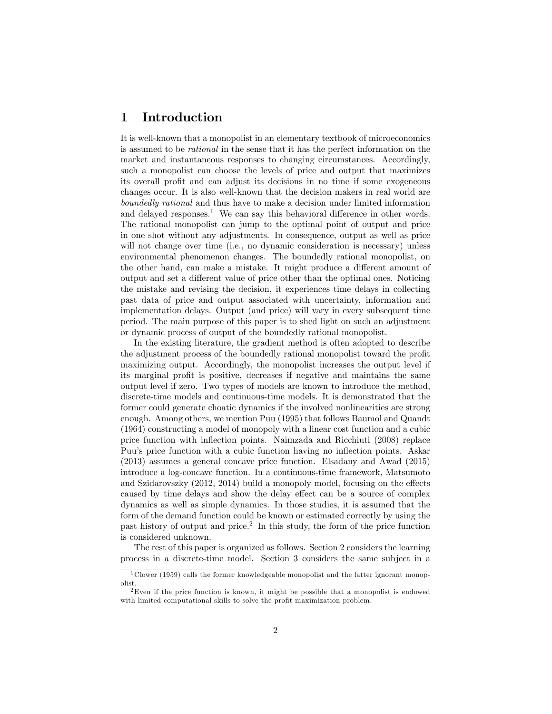#### 1 Introduction

It is well-known that a monopolist in an elementary textbook of microeconomics is assumed to be rational in the sense that it has the perfect information on the market and instantaneous responses to changing circumstances. Accordingly, such a monopolist can choose the levels of price and output that maximizes its overall profit and can adjust its decisions in no time if some exogeneous changes occur. It is also well-known that the decision makers in real world are boundedly rational and thus have to make a decision under limited information and delayed responses.<sup>1</sup> We can say this behavioral difference in other words. The rational monopolist can jump to the optimal point of output and price in one shot without any adjustments. In consequence, output as well as price will not change over time (i.e., no dynamic consideration is necessary) unless environmental phenomenon changes. The boundedly rational monopolist, on the other hand, can make a mistake. It might produce a different amount of output and set a different value of price other than the optimal ones. Noticing the mistake and revising the decision, it experiences time delays in collecting past data of price and output associated with uncertainty, information and implementation delays. Output (and price) will vary in every subsequent time period. The main purpose of this paper is to shed light on such an adjustment or dynamic process of output of the boundedly rational monopolist.

In the existing literature, the gradient method is often adopted to describe the adjustment process of the boundedly rational monopolist toward the profit maximizing output. Accordingly, the monopolist increases the output level if its marginal profit is positive, decreases if negative and maintains the same output level if zero. Two types of models are known to introduce the method, discrete-time models and continuous-time models. It is demonstrated that the former could generate choatic dynamics if the involved nonlinearities are strong enough. Among others, we mention Puu (1995) that follows Baumol and Quandt (1964) constructing a model of monopoly with a linear cost function and a cubic price function with ináection points. Naimzada and Ricchiuti (2008) replace Puu's price function with a cubic function having no inflection points. Askar (2013) assumes a general concave price function. Elsadany and Awad (2015) introduce a log-concave function. In a continuous-time framework, Matsumoto and Szidarovszky  $(2012, 2014)$  build a monopoly model, focusing on the effects caused by time delays and show the delay effect can be a source of complex dynamics as well as simple dynamics. In those studies, it is assumed that the form of the demand function could be known or estimated correctly by using the past history of output and price.<sup>2</sup> In this study, the form of the price function is considered unknown.

The rest of this paper is organized as follows. Section 2 considers the learning process in a discrete-time model. Section 3 considers the same subject in a

 $1$ Clower (1959) calls the former knowledgeable monopolist and the latter ignorant monopolist.

<sup>2</sup>Even if the price function is known, it might be possible that a monopolist is endowed with limited computational skills to solve the profit maximization problem.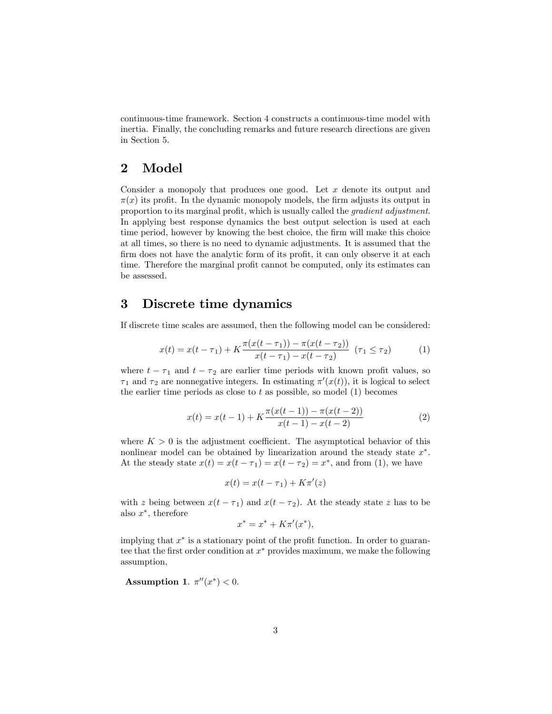continuous-time framework. Section 4 constructs a continuous-time model with inertia. Finally, the concluding remarks and future research directions are given in Section 5.

#### 2 Model

Consider a monopoly that produces one good. Let  $x$  denote its output and  $\pi(x)$  its profit. In the dynamic monopoly models, the firm adjusts its output in proportion to its marginal profit, which is usually called the *gradient adjustment*. In applying best response dynamics the best output selection is used at each time period, however by knowing the best choice, the firm will make this choice at all times, so there is no need to dynamic adjustments. It is assumed that the firm does not have the analytic form of its profit, it can only observe it at each time. Therefore the marginal profit cannot be computed, only its estimates can be assessed.

#### 3 Discrete time dynamics

If discrete time scales are assumed, then the following model can be considered:

$$
x(t) = x(t - \tau_1) + K \frac{\pi(x(t - \tau_1)) - \pi(x(t - \tau_2))}{x(t - \tau_1) - x(t - \tau_2)} \quad (\tau_1 \le \tau_2)
$$
 (1)

where  $t - \tau_1$  and  $t - \tau_2$  are earlier time periods with known profit values, so  $\tau_1$  and  $\tau_2$  are nonnegative integers. In estimating  $\pi'(x(t))$ , it is logical to select the earlier time periods as close to t as possible, so model  $(1)$  becomes

$$
x(t) = x(t-1) + K \frac{\pi(x(t-1)) - \pi(x(t-2))}{x(t-1) - x(t-2)}
$$
\n(2)

where  $K > 0$  is the adjustment coefficient. The asymptotical behavior of this nonlinear model can be obtained by linearization around the steady state  $x^*$ . At the steady state  $x(t) = x(t - \tau_1) = x(t - \tau_2) = x^*$ , and from (1), we have

$$
x(t) = x(t - \tau_1) + K\pi'(z)
$$

with z being between  $x(t - \tau_1)$  and  $x(t - \tau_2)$ . At the steady state z has to be also  $x^*$ , therefore

$$
x^* = x^* + K\pi'(x^*),
$$

implying that  $x^*$  is a stationary point of the profit function. In order to guarantee that the first order condition at  $x^*$  provides maximum, we make the following assumption,

Assumption 1.  $\pi''(x^*) < 0$ .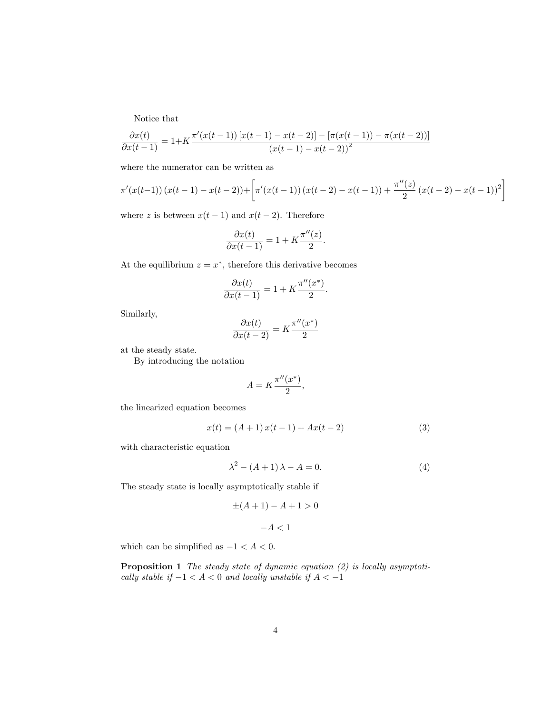Notice that

$$
\frac{\partial x(t)}{\partial x(t-1)} = 1 + K \frac{\pi'(x(t-1)) [x(t-1) - x(t-2)] - [\pi(x(t-1)) - \pi(x(t-2))]}{(x(t-1) - x(t-2))^2}
$$

where the numerator can be written as

$$
\pi'(x(t-1)) (x(t-1) - x(t-2)) + \left[ \pi'(x(t-1)) (x(t-2) - x(t-1)) + \frac{\pi''(z)}{2} (x(t-2) - x(t-1))^2 \right]
$$

where z is between  $x(t-1)$  and  $x(t-2)$ . Therefore

$$
\frac{\partial x(t)}{\partial x(t-1)} = 1 + K \frac{\pi''(z)}{2}.
$$

At the equilibrium  $z = x^*$ , therefore this derivative becomes

$$
\frac{\partial x(t)}{\partial x(t-1)} = 1 + K \frac{\pi''(x^*)}{2}.
$$

Similarly,

$$
\frac{\partial x(t)}{\partial x(t-2)} = K \frac{\pi''(x^*)}{2}
$$

at the steady state.

By introducing the notation

$$
A=K\frac{\pi''(x^*)}{2},
$$

the linearized equation becomes

$$
x(t) = (A+1)x(t-1) + Ax(t-2)
$$
\n(3)

with characteristic equation

$$
\lambda^2 - (A+1)\lambda - A = 0. \tag{4}
$$

The steady state is locally asymptotically stable if

$$
\pm(A+1) - A + 1 > 0
$$

$$
-A < 1
$$

which can be simplified as  $-1 < A < 0$ .

**Proposition 1** The steady state of dynamic equation  $(2)$  is locally asymptotically stable if  $-1 < A < 0$  and locally unstable if  $A < -1$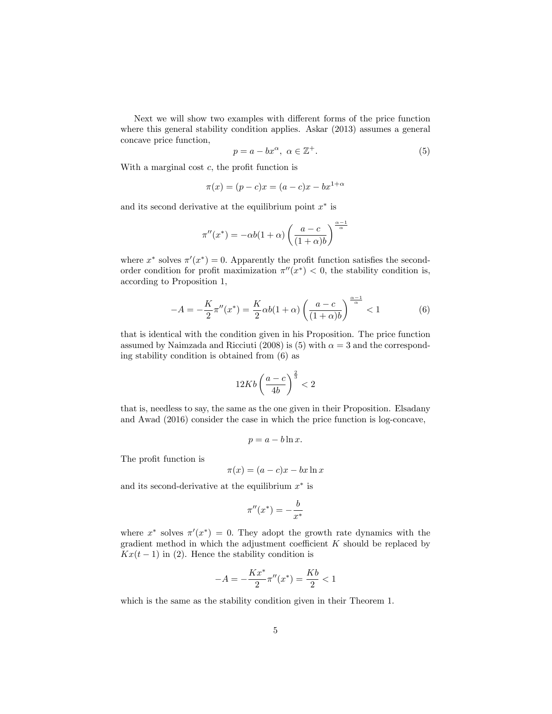Next we will show two examples with different forms of the price function where this general stability condition applies. Askar (2013) assumes a general concave price function,

$$
p = a - bx^{\alpha}, \ \alpha \in \mathbb{Z}^{+}.
$$
 (5)

With a marginal cost  $c$ , the profit function is

$$
\pi(x) = (p - c)x = (a - c)x - bx^{1 + \alpha}
$$

and its second derivative at the equilibrium point  $x^*$  is

$$
\pi''(x^*) = -\alpha b(1+\alpha) \left(\frac{a-c}{(1+\alpha)b}\right)^{\frac{\alpha-1}{\alpha}}
$$

where  $x^*$  solves  $\pi'(x^*) = 0$ . Apparently the profit function satisfies the secondorder condition for profit maximization  $\pi''(x^*) < 0$ , the stability condition is, according to Proposition 1,

$$
-A = -\frac{K}{2}\pi''(x^*) = \frac{K}{2}\alpha b(1+\alpha)\left(\frac{a-c}{(1+\alpha)b}\right)^{\frac{\alpha-1}{\alpha}} < 1\tag{6}
$$

that is identical with the condition given in his Proposition. The price function assumed by Naimzada and Ricciuti (2008) is (5) with  $\alpha = 3$  and the corresponding stability condition is obtained from (6) as

$$
12Kb\left(\frac{a-c}{4b}\right)^{\frac{2}{3}}<2
$$

that is, needless to say, the same as the one given in their Proposition. Elsadany and Awad (2016) consider the case in which the price function is log-concave,

$$
p = a - b \ln x.
$$

The profit function is

$$
\pi(x) = (a - c)x - bx \ln x
$$

and its second-derivative at the equilibrium  $x^*$  is

$$
\pi''(x^*) = -\frac{b}{x^*}
$$

where  $x^*$  solves  $\pi'(x^*) = 0$ . They adopt the growth rate dynamics with the gradient method in which the adjustment coefficient  $K$  should be replaced by  $Kx(t-1)$  in (2). Hence the stability condition is

$$
-A = -\frac{Kx^*}{2}\pi''(x^*) = \frac{Kb}{2} < 1
$$

which is the same as the stability condition given in their Theorem 1.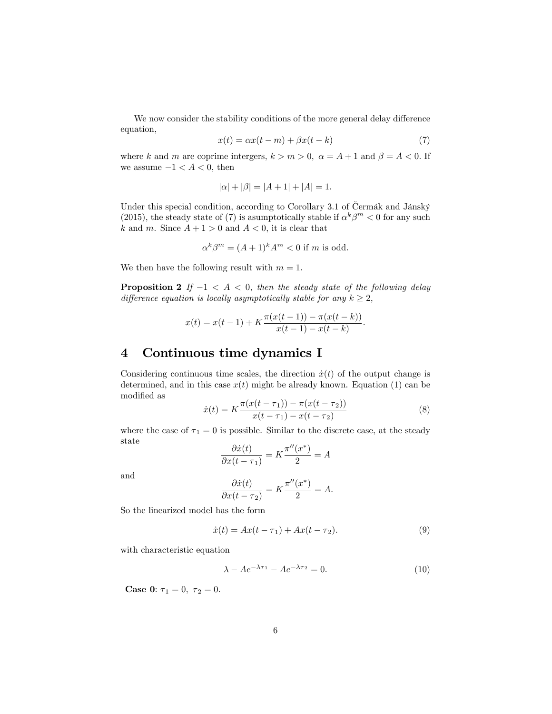We now consider the stability conditions of the more general delay difference equation,

$$
x(t) = \alpha x(t - m) + \beta x(t - k)
$$
\n(7)

where k and m are coprime intergers,  $k > m > 0$ ,  $\alpha = A + 1$  and  $\beta = A < 0$ . If we assume  $-1 < A < 0$ , then

$$
|\alpha| + |\beta| = |A+1| + |A| = 1.
$$

Under this special condition, according to Corollary 3.1 of Čermák and Jánský (2015), the steady state of (7) is asumptotically stable if  $\alpha^k \beta^m < 0$  for any such k and m. Since  $A + 1 > 0$  and  $A < 0$ , it is clear that

$$
\alpha^k \beta^m = (A+1)^k A^m < 0 \text{ if } m \text{ is odd.}
$$

We then have the following result with  $m = 1$ .

**Proposition 2** If  $-1 < A < 0$ , then the steady state of the following delay difference equation is locally asymptotically stable for any  $k \geq 2$ ,

$$
x(t) = x(t-1) + K \frac{\pi(x(t-1)) - \pi(x(t-k))}{x(t-1) - x(t-k)}.
$$

### 4 Continuous time dynamics I

Considering continuous time scales, the direction  $\dot{x}(t)$  of the output change is determined, and in this case  $x(t)$  might be already known. Equation (1) can be modified as

$$
\dot{x}(t) = K \frac{\pi(x(t-\tau_1)) - \pi(x(t-\tau_2))}{x(t-\tau_1) - x(t-\tau_2)}
$$
\n(8)

where the case of  $\tau_1 = 0$  is possible. Similar to the discrete case, at the steady state

$$
\frac{\partial \dot{x}(t)}{\partial x(t-\tau_1)} = K \frac{\pi''(x^*)}{2} = A
$$

and

$$
\frac{\partial \dot{x}(t)}{\partial x(t-\tau_2)} = K \frac{\pi''(x^*)}{2} = A.
$$

So the linearized model has the form

$$
\dot{x}(t) = Ax(t - \tau_1) + Ax(t - \tau_2). \tag{9}
$$

with characteristic equation

$$
\lambda - Ae^{-\lambda \tau_1} - Ae^{-\lambda \tau_2} = 0.
$$
\n(10)

**Case 0:**  $\tau_1 = 0, \ \tau_2 = 0.$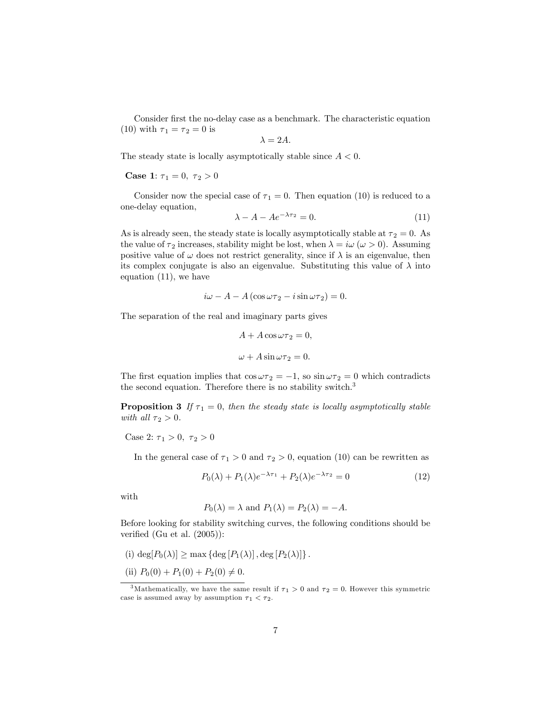Consider first the no-delay case as a benchmark. The characteristic equation (10) with  $\tau_1 = \tau_2 = 0$  is

$$
\lambda = 2A.
$$

The steady state is locally asymptotically stable since  $A < 0$ .

**Case 1:**  $\tau_1 = 0, \ \tau_2 > 0$ 

Consider now the special case of  $\tau_1 = 0$ . Then equation (10) is reduced to a one-delay equation,

$$
\lambda - A - Ae^{-\lambda \tau_2} = 0. \tag{11}
$$

As is already seen, the steady state is locally asymptotically stable at  $\tau_2 = 0$ . As the value of  $\tau_2$  increases, stability might be lost, when  $\lambda = i\omega \ (\omega > 0)$ . Assuming positive value of  $\omega$  does not restrict generality, since if  $\lambda$  is an eigenvalue, then its complex conjugate is also an eigenvalue. Substituting this value of  $\lambda$  into equation (11), we have

$$
i\omega - A - A\left(\cos \omega \tau_2 - i\sin \omega \tau_2\right) = 0.
$$

The separation of the real and imaginary parts gives

$$
A + A \cos \omega \tau_2 = 0,
$$
  

$$
\omega + A \sin \omega \tau_2 = 0.
$$

The first equation implies that  $\cos \omega \tau_2 = -1$ , so  $\sin \omega \tau_2 = 0$  which contradicts the second equation. Therefore there is no stability switch.<sup>3</sup>

**Proposition 3** If  $\tau_1 = 0$ , then the steady state is locally asymptotically stable with all  $\tau_2 > 0$ .

Case 2:  $\tau_1 > 0$ ,  $\tau_2 > 0$ 

In the general case of  $\tau_1 > 0$  and  $\tau_2 > 0$ , equation (10) can be rewritten as

$$
P_0(\lambda) + P_1(\lambda)e^{-\lambda \tau_1} + P_2(\lambda)e^{-\lambda \tau_2} = 0 \tag{12}
$$

with

$$
P_0(\lambda) = \lambda
$$
 and  $P_1(\lambda) = P_2(\lambda) = -A$ .

Before looking for stability switching curves, the following conditions should be verified (Gu et al.  $(2005)$ ):

(i)  $\deg[P_0(\lambda)] \ge \max \{ \deg[P_1(\lambda)] , \deg[P_2(\lambda)] \}.$ 

(ii) 
$$
P_0(0) + P_1(0) + P_2(0) \neq 0
$$
.

<sup>&</sup>lt;sup>3</sup>Mathematically, we have the same result if  $\tau_1 > 0$  and  $\tau_2 = 0$ . However this symmetric case is assumed away by assumption  $\tau_1 < \tau_2$ .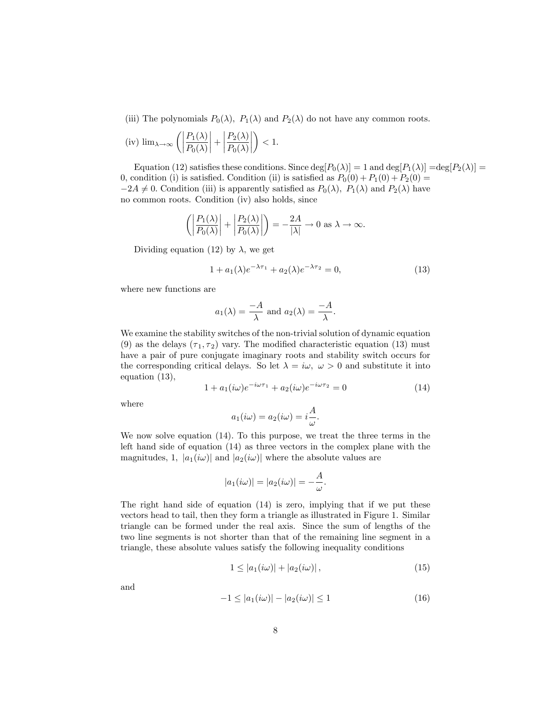(iii) The polynomials  $P_0(\lambda)$ ,  $P_1(\lambda)$  and  $P_2(\lambda)$  do not have any common roots.

(iv) 
$$
\lim_{\lambda \to \infty} \left( \left| \frac{P_1(\lambda)}{P_0(\lambda)} \right| + \left| \frac{P_2(\lambda)}{P_0(\lambda)} \right| \right) < 1.
$$

Equation (12) satisfies these conditions. Since  $\deg[P_0(\lambda)] = 1$  and  $\deg[P_1(\lambda)] = \deg[P_2(\lambda)] =$ 0, condition (i) is satisfied. Condition (ii) is satisfied as  $P_0(0) + P_1(0) + P_2(0) =$  $-2A \neq 0$ . Condition (iii) is apparently satisfied as  $P_0(\lambda)$ ,  $P_1(\lambda)$  and  $P_2(\lambda)$  have no common roots. Condition (iv) also holds, since

$$
\left( \left| \frac{P_1(\lambda)}{P_0(\lambda)} \right| + \left| \frac{P_2(\lambda)}{P_0(\lambda)} \right| \right) = -\frac{2A}{|\lambda|} \to 0 \text{ as } \lambda \to \infty.
$$

Dividing equation (12) by  $\lambda$ , we get

$$
1 + a_1(\lambda)e^{-\lambda \tau_1} + a_2(\lambda)e^{-\lambda \tau_2} = 0,
$$
\n(13)

where new functions are

$$
a_1(\lambda) = \frac{-A}{\lambda}
$$
 and  $a_2(\lambda) = \frac{-A}{\lambda}$ .

We examine the stability switches of the non-trivial solution of dynamic equation (9) as the delays  $(\tau_1, \tau_2)$  vary. The modified characteristic equation (13) must have a pair of pure conjugate imaginary roots and stability switch occurs for the corresponding critical delays. So let  $\lambda = i\omega, \ \omega > 0$  and substitute it into equation (13),

$$
1 + a_1(i\omega)e^{-i\omega\tau_1} + a_2(i\omega)e^{-i\omega\tau_2} = 0
$$
\n(14)

where

$$
a_1(i\omega) = a_2(i\omega) = i\frac{A}{\omega}.
$$

We now solve equation (14). To this purpose, we treat the three terms in the left hand side of equation (14) as three vectors in the complex plane with the magnitudes, 1,  $|a_1(i\omega)|$  and  $|a_2(i\omega)|$  where the absolute values are

$$
|a_1(i\omega)| = |a_2(i\omega)| = -\frac{A}{\omega}.
$$

The right hand side of equation (14) is zero, implying that if we put these vectors head to tail, then they form a triangle as illustrated in Figure 1. Similar triangle can be formed under the real axis. Since the sum of lengths of the two line segments is not shorter than that of the remaining line segment in a triangle, these absolute values satisfy the following inequality conditions

$$
1 \le |a_1(i\omega)| + |a_2(i\omega)|, \tag{15}
$$

and

$$
-1 \le |a_1(i\omega)| - |a_2(i\omega)| \le 1 \tag{16}
$$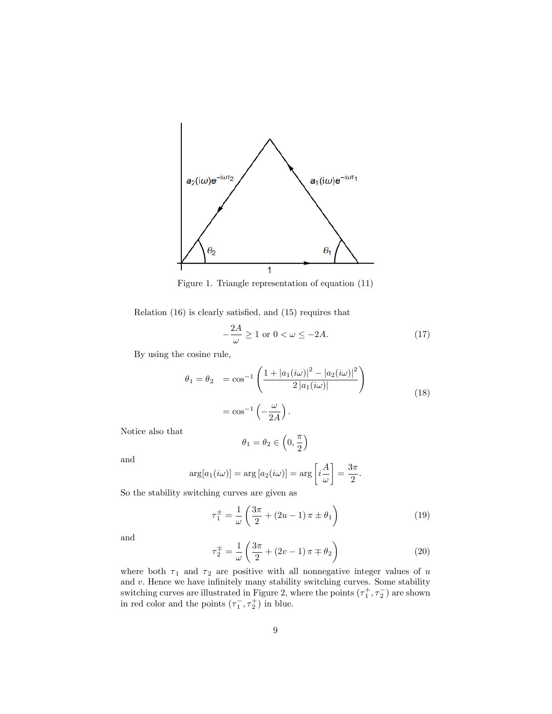

Figure 1. Triangle representation of equation (11)

Relation  $(16)$  is clearly satisfied, and  $(15)$  requires that

$$
-\frac{2A}{\omega} \ge 1 \text{ or } 0 < \omega \le -2A. \tag{17}
$$

By using the cosine rule,

$$
\theta_1 = \theta_2 = \cos^{-1} \left( \frac{1 + |a_1(i\omega)|^2 - |a_2(i\omega)|^2}{2 |a_1(i\omega)|} \right)
$$
  
=  $\cos^{-1} \left( -\frac{\omega}{2A} \right).$  (18)

Notice also that

$$
\theta_1 = \theta_2 \in \left(0, \frac{\pi}{2}\right)
$$

and

$$
\arg[a_1(i\omega)] = \arg[a_2(i\omega)] = \arg\left[i\frac{A}{\omega}\right] = \frac{3\pi}{2}.
$$

So the stability switching curves are given as

$$
\tau_1^{\pm} = \frac{1}{\omega} \left( \frac{3\pi}{2} + (2u - 1)\pi \pm \theta_1 \right) \tag{19}
$$

and

$$
\tau_2^{\pm} = \frac{1}{\omega} \left( \frac{3\pi}{2} + (2v - 1)\pi \mp \theta_2 \right) \tag{20}
$$

where both  $\tau_1$  and  $\tau_2$  are positive with all nonnegative integer values of u and  $v$ . Hence we have infinitely many stability switching curves. Some stability switching curves are illustrated in Figure 2, where the points  $(\tau_1^+, \tau_2^-)$  are shown in red color and the points  $(\tau_1^-,\tau_2^+)$  in blue.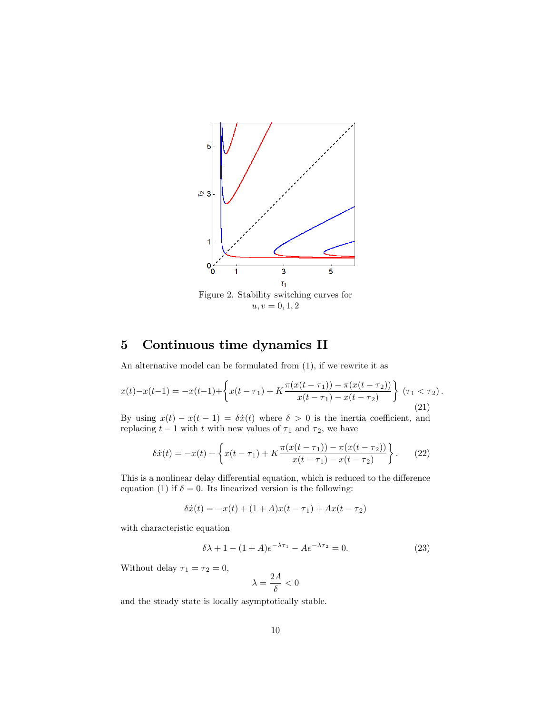

 $u, v = 0, 1, 2$ 

## 5 Continuous time dynamics II

An alternative model can be formulated from (1), if we rewrite it as

$$
x(t)-x(t-1) = -x(t-1) + \left\{ x(t-\tau_1) + K \frac{\pi(x(t-\tau_1)) - \pi(x(t-\tau_2))}{x(t-\tau_1) - x(t-\tau_2)} \right\} (\tau_1 < \tau_2).
$$
\n(21)

By using  $x(t) - x(t - 1) = \delta \dot{x}(t)$  where  $\delta > 0$  is the inertia coefficient, and replacing  $t-1$  with t with new values of  $\tau_1$  and  $\tau_2$ , we have

$$
\delta \dot{x}(t) = -x(t) + \left\{ x(t - \tau_1) + K \frac{\pi(x(t - \tau_1)) - \pi(x(t - \tau_2))}{x(t - \tau_1) - x(t - \tau_2)} \right\}.
$$
 (22)

This is a nonlinear delay differential equation, which is reduced to the difference equation (1) if  $\delta = 0$ . Its linearized version is the following:

$$
\delta \dot{x}(t) = -x(t) + (1+A)x(t-\tau_1) + Ax(t-\tau_2)
$$

with characteristic equation

$$
\delta \lambda + 1 - (1 + A)e^{-\lambda \tau_1} - Ae^{-\lambda \tau_2} = 0.
$$
 (23)

Without delay  $\tau_1 = \tau_2 = 0$ ,

$$
\lambda = \frac{2A}{\delta} < 0
$$

and the steady state is locally asymptotically stable.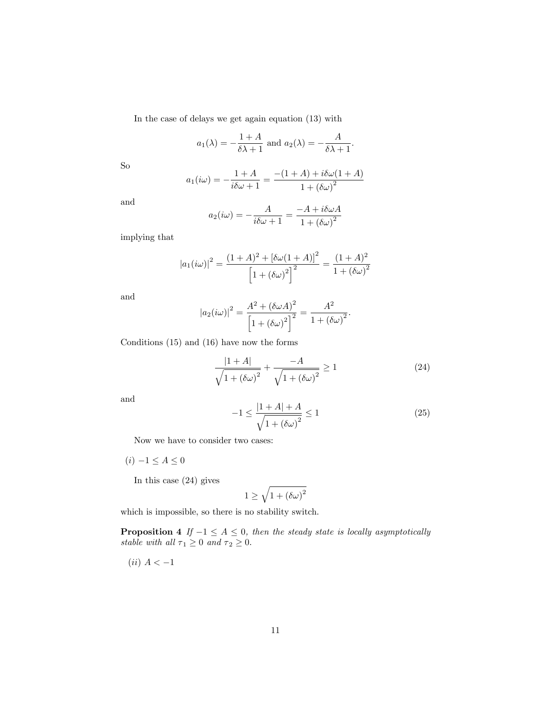In the case of delays we get again equation (13) with

$$
a_1(\lambda) = -\frac{1+A}{\delta\lambda+1}
$$
 and  $a_2(\lambda) = -\frac{A}{\delta\lambda+1}$ .

So

$$
a_1(i\omega) = -\frac{1+A}{i\delta\omega + 1} = \frac{-(1+A) + i\delta\omega(1+A)}{1 + (\delta\omega)^2}
$$

and

$$
a_2(i\omega) = -\frac{A}{i\delta\omega + 1} = \frac{-A + i\delta\omega A}{1 + (\delta\omega)^2}
$$

implying that

$$
|a_1(i\omega)|^2 = \frac{(1+A)^2 + [\delta\omega(1+A)]^2}{\left[1 + (\delta\omega)^2\right]^2} = \frac{(1+A)^2}{1 + (\delta\omega)^2}
$$

and

$$
|a_2(i\omega)|^2 = \frac{A^2 + (\delta\omega A)^2}{\left[1 + (\delta\omega)^2\right]^2} = \frac{A^2}{1 + (\delta\omega)^2}.
$$

Conditions (15) and (16) have now the forms

$$
\frac{|1+A|}{\sqrt{1+\left(\delta\omega\right)^2}} + \frac{-A}{\sqrt{1+\left(\delta\omega\right)^2}} \ge 1\tag{24}
$$

and

$$
-1 \le \frac{|1+A|+A}{\sqrt{1+(\delta\omega)^2}} \le 1
$$
\n(25)

Now we have to consider two cases:

 $(i) -1 \le A \le 0$ 

In this case (24) gives

$$
1\geq \sqrt{1+\left(\delta\omega\right)^2}
$$

which is impossible, so there is no stability switch.

**Proposition 4** If  $-1 \leq A \leq 0$ , then the steady state is locally asymptotically stable with all  $\tau_1 \geq 0$  and  $\tau_2 \geq 0$ .

 $(ii)$   $A < -1$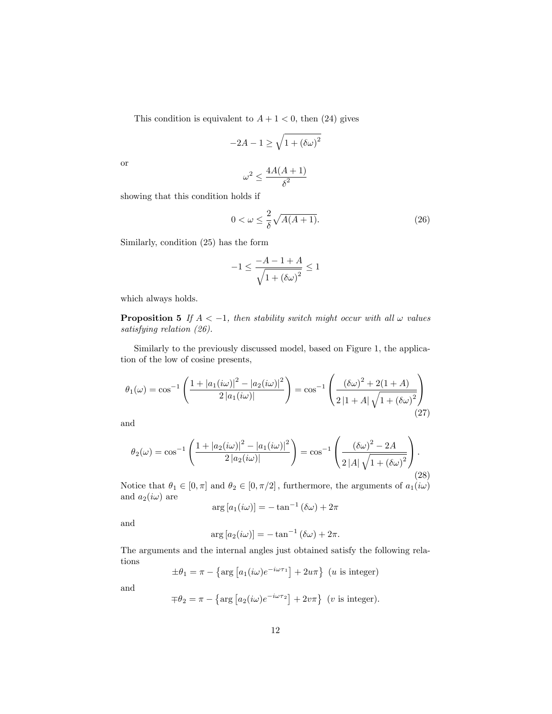This condition is equivalent to  $A + 1 < 0$ , then (24) gives

$$
-2A - 1 \ge \sqrt{1 + (\delta \omega)^2}
$$

or

$$
\omega^2 \le \frac{4A(A+1)}{\delta^2}
$$

showing that this condition holds if

$$
0 < \omega \le \frac{2}{\delta} \sqrt{A(A+1)}.\tag{26}
$$

Similarly, condition (25) has the form

$$
-1 \le \frac{-A - 1 + A}{\sqrt{1 + \left(\delta\omega\right)^2}} \le 1
$$

which always holds.

**Proposition 5** If  $A < -1$ , then stability switch might occur with all  $\omega$  values satisfying relation (26).

Similarly to the previously discussed model, based on Figure 1, the application of the low of cosine presents,

$$
\theta_1(\omega) = \cos^{-1}\left(\frac{1+|a_1(i\omega)|^2 - |a_2(i\omega)|^2}{2|a_1(i\omega)|}\right) = \cos^{-1}\left(\frac{(\delta\omega)^2 + 2(1+A)}{2|1+A|\sqrt{1+(\delta\omega)^2}}\right)
$$
\n(27)

and

$$
\theta_2(\omega) = \cos^{-1}\left(\frac{1+|a_2(i\omega)|^2 - |a_1(i\omega)|^2}{2|a_2(i\omega)|}\right) = \cos^{-1}\left(\frac{(\delta\omega)^2 - 2A}{2|A|\sqrt{1+(\delta\omega)^2}}\right).
$$
\n(28)

Notice that  $\theta_1 \in [0, \pi]$  and  $\theta_2 \in [0, \pi/2]$ , furthermore, the arguments of  $a_1(i\omega)$ and  $a_2(i\omega)$  are

$$
\arg\left[a_1(i\omega)\right] = -\tan^{-1}\left(\delta\omega\right) + 2\pi
$$

and

$$
\arg [a_2(i\omega)] = -\tan^{-1}(\delta\omega) + 2\pi.
$$

The arguments and the internal angles just obtained satisfy the following relations

$$
\pm \theta_1 = \pi - \left\{ \arg \left[ a_1(i\omega) e^{-i\omega \tau_1} \right] + 2u\pi \right\} \ (u \text{ is integer})
$$

and

$$
\mp \theta_2 = \pi - \left\{ \arg \left[ a_2(i\omega) e^{-i\omega \tau_2} \right] + 2v\pi \right\} \ (v \text{ is integer}).
$$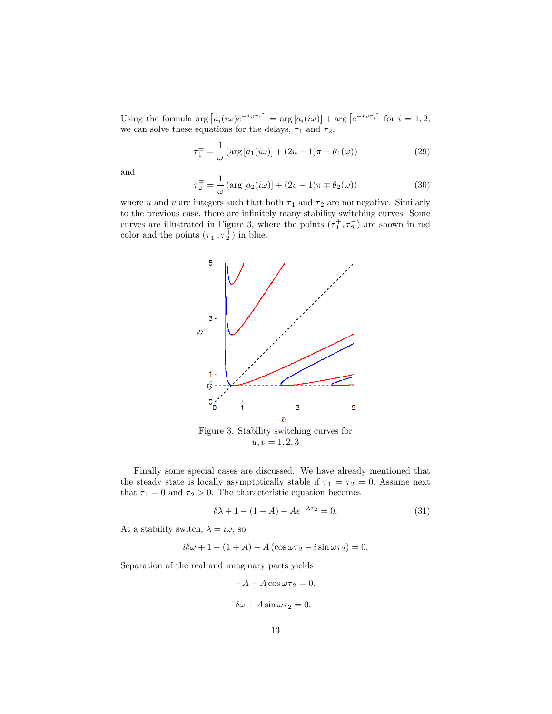Using the formula  $\arg [a_i(i\omega)e^{-i\omega\tau_1}] = \arg [a_i(i\omega)] + \arg [e^{-i\omega\tau_i}]$  for  $i = 1, 2,$ we can solve these equations for the delays,  $\tau_1$  and  $\tau_2$ ,

$$
\tau_1^{\pm} = \frac{1}{\omega} \left( \arg \left[ a_1(i\omega) \right] + (2u - 1)\pi \pm \theta_1(\omega) \right) \tag{29}
$$

and

$$
\tau_2^{\mp} = \frac{1}{\omega} \left( \arg \left[ a_2(i\omega) \right] + (2v - 1)\pi \mp \theta_2(\omega) \right) \tag{30}
$$

where u and v are integers such that both  $\tau_1$  and  $\tau_2$  are nonnegative. Similarly to the previous case, there are infinitely many stability switching curves. Some curves are illustrated in Figure 3, where the points  $(\tau_1^+, \tau_2^-)$  are shown in red color and the points  $(\tau_1^-, \tau_2^+)$  in blue.



Figure 3. Stability switching curves for  $u, v = 1, 2, 3$ 

Finally some special cases are discussed. We have already mentioned that the steady state is locally asymptotically stable if  $\tau_1 = \tau_2 = 0$ . Assume next that  $\tau_1 = 0$  and  $\tau_2 > 0$ . The characteristic equation becomes

$$
\delta \lambda + 1 - (1 + A) - A e^{-\lambda \tau_2} = 0.
$$
 (31)

At a stability switch,  $\lambda = i\omega$ , so

$$
i\delta\omega + 1 - (1 + A) - A\left(\cos\omega\tau_2 - i\sin\omega\tau_2\right) = 0.
$$

Separation of the real and imaginary parts yields

$$
-A - A\cos\omega\tau_2 = 0,
$$

 $\delta \omega + A \sin \omega \tau_2 = 0,$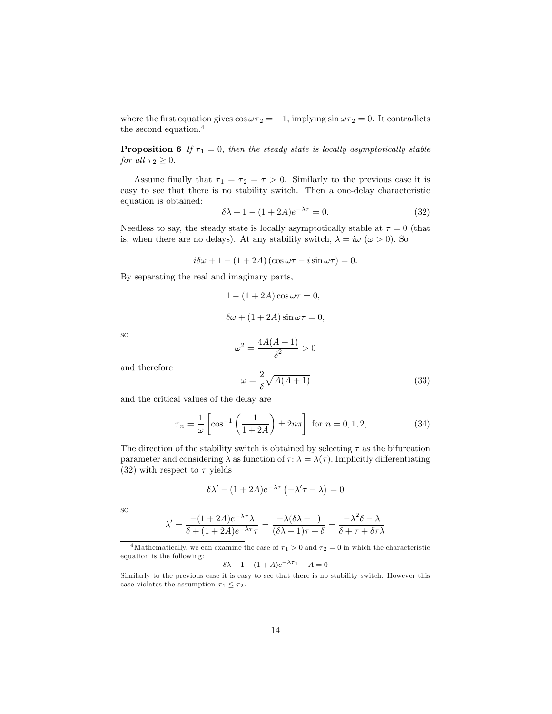where the first equation gives  $\cos \omega \tau_2 = -1$ , implying  $\sin \omega \tau_2 = 0$ . It contradicts the second equation.<sup>4</sup>

**Proposition 6** If  $\tau_1 = 0$ , then the steady state is locally asymptotically stable for all  $\tau_2 \geq 0$ .

Assume finally that  $\tau_1 = \tau_2 = \tau > 0$ . Similarly to the previous case it is easy to see that there is no stability switch. Then a one-delay characteristic equation is obtained:

$$
\delta \lambda + 1 - (1 + 2A)e^{-\lambda \tau} = 0. \tag{32}
$$

Needless to say, the steady state is locally asymptotically stable at  $\tau = 0$  (that is, when there are no delays). At any stability switch,  $\lambda = i\omega \ (\omega > 0)$ . So

$$
i\delta\omega + 1 - (1 + 2A) (\cos \omega \tau - i \sin \omega \tau) = 0.
$$

By separating the real and imaginary parts,

$$
1 - (1 + 2A)\cos \omega \tau = 0,
$$
  

$$
\delta \omega + (1 + 2A)\sin \omega \tau = 0,
$$

so

$$
\omega^2 = \frac{4A(A+1)}{\delta^2} > 0
$$

and therefore

$$
\omega = \frac{2}{\delta} \sqrt{A(A+1)}\tag{33}
$$

and the critical values of the delay are

$$
\tau_n = \frac{1}{\omega} \left[ \cos^{-1} \left( \frac{1}{1+2A} \right) \pm 2n\pi \right] \text{ for } n = 0, 1, 2, \dots \tag{34}
$$

The direction of the stability switch is obtained by selecting  $\tau$  as the bifurcation parameter and considering  $\lambda$  as function of  $\tau : \lambda = \lambda(\tau)$ . Implicitly differentiating (32) with respect to  $\tau$  yields

$$
\delta \lambda' - (1 + 2A)e^{-\lambda \tau} \left( -\lambda' \tau - \lambda \right) = 0
$$

so

$$
\lambda' = \frac{-(1+2A)e^{-\lambda\tau}\lambda}{\delta + (1+2A)e^{-\lambda\tau}\tau} = \frac{-\lambda(\delta\lambda+1)}{(\delta\lambda+1)\tau+\delta} = \frac{-\lambda^2\delta - \lambda}{\delta + \tau + \delta\tau\lambda}
$$

<sup>4</sup>Mathematically, we can examine the case of  $\tau_1 > 0$  and  $\tau_2 = 0$  in which the characteristic equation is the following:

$$
\delta\lambda + 1 - (1 + A)e^{-\lambda\tau_1} - A = 0
$$

Similarly to the previous case it is easy to see that there is no stability switch. However this case violates the assumption  $\tau_1 \leq \tau_2$ .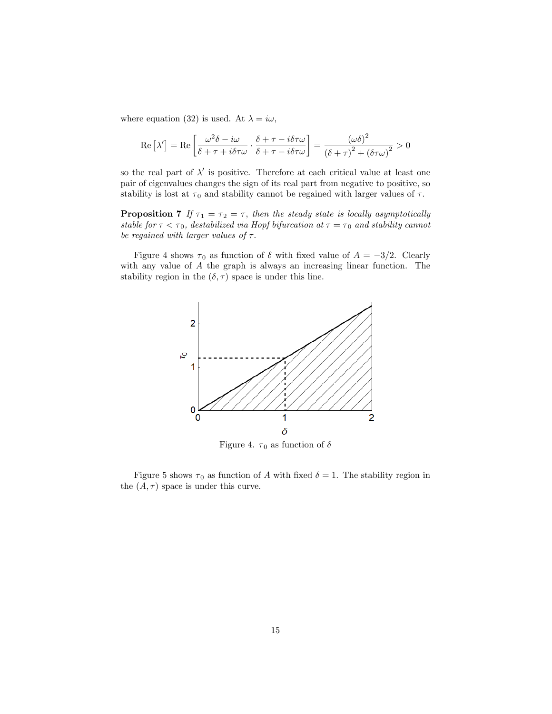where equation (32) is used. At  $\lambda = i\omega$ ,

$$
\operatorname{Re} [\lambda'] = \operatorname{Re} \left[ \frac{\omega^2 \delta - i\omega}{\delta + \tau + i\delta \tau \omega} \cdot \frac{\delta + \tau - i\delta \tau \omega}{\delta + \tau - i\delta \tau \omega} \right] = \frac{(\omega \delta)^2}{(\delta + \tau)^2 + (\delta \tau \omega)^2} > 0
$$

so the real part of  $\lambda'$  is positive. Therefore at each critical value at least one pair of eigenvalues changes the sign of its real part from negative to positive, so stability is lost at  $\tau_0$  and stability cannot be regained with larger values of  $\tau$ .

**Proposition 7** If  $\tau_1 = \tau_2 = \tau$ , then the steady state is locally asymptotically stable for  $\tau < \tau_0$ , destabilized via Hopf bifurcation at  $\tau = \tau_0$  and stability cannot be regained with larger values of  $\tau$ .

Figure 4 shows  $\tau_0$  as function of  $\delta$  with fixed value of  $A = -3/2$ . Clearly with any value of A the graph is always an increasing linear function. The stability region in the  $(\delta, \tau)$  space is under this line.



Figure 4.  $\tau_0$  as function of  $\delta$ 

Figure 5 shows  $\tau_0$  as function of A with fixed  $\delta = 1$ . The stability region in the  $(A, \tau)$  space is under this curve.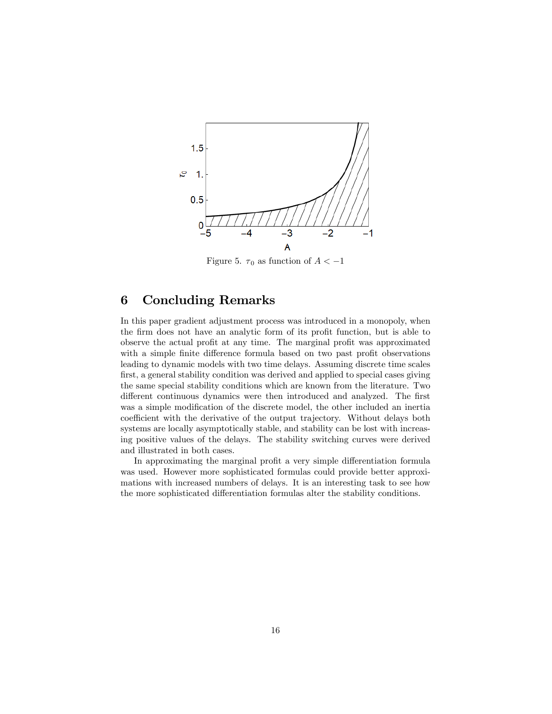

Figure 5.  $\tau_0$  as function of  $A < -1$ 

### 6 Concluding Remarks

In this paper gradient adjustment process was introduced in a monopoly, when the firm does not have an analytic form of its profit function, but is able to observe the actual profit at any time. The marginal profit was approximated with a simple finite difference formula based on two past profit observations leading to dynamic models with two time delays. Assuming discrete time scales first, a general stability condition was derived and applied to special cases giving the same special stability conditions which are known from the literature. Two different continuous dynamics were then introduced and analyzed. The first was a simple modification of the discrete model, the other included an inertia coefficient with the derivative of the output trajectory. Without delays both systems are locally asymptotically stable, and stability can be lost with increasing positive values of the delays. The stability switching curves were derived and illustrated in both cases.

In approximating the marginal profit a very simple differentiation formula was used. However more sophisticated formulas could provide better approximations with increased numbers of delays. It is an interesting task to see how the more sophisticated differentiation formulas alter the stability conditions.